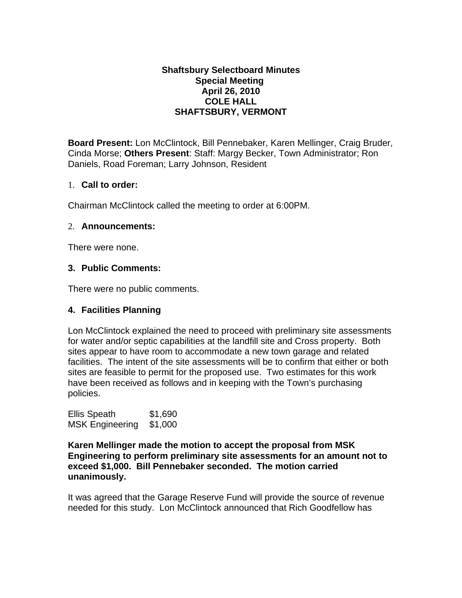#### **Shaftsbury Selectboard Minutes Special Meeting April 26, 2010 COLE HALL SHAFTSBURY, VERMONT**

**Board Present:** Lon McClintock, Bill Pennebaker, Karen Mellinger, Craig Bruder, Cinda Morse; **Others Present**: Staff: Margy Becker, Town Administrator; Ron Daniels, Road Foreman; Larry Johnson, Resident

### 1. **Call to order:**

Chairman McClintock called the meeting to order at 6:00PM.

### 2. **Announcements:**

There were none.

### **3. Public Comments:**

There were no public comments.

### **4. Facilities Planning**

Lon McClintock explained the need to proceed with preliminary site assessments for water and/or septic capabilities at the landfill site and Cross property. Both sites appear to have room to accommodate a new town garage and related facilities. The intent of the site assessments will be to confirm that either or both sites are feasible to permit for the proposed use. Two estimates for this work have been received as follows and in keeping with the Town's purchasing policies.

| <b>Ellis Speath</b>    | \$1,690 |
|------------------------|---------|
| <b>MSK Engineering</b> | \$1,000 |

**Karen Mellinger made the motion to accept the proposal from MSK Engineering to perform preliminary site assessments for an amount not to exceed \$1,000. Bill Pennebaker seconded. The motion carried unanimously.**

It was agreed that the Garage Reserve Fund will provide the source of revenue needed for this study. Lon McClintock announced that Rich Goodfellow has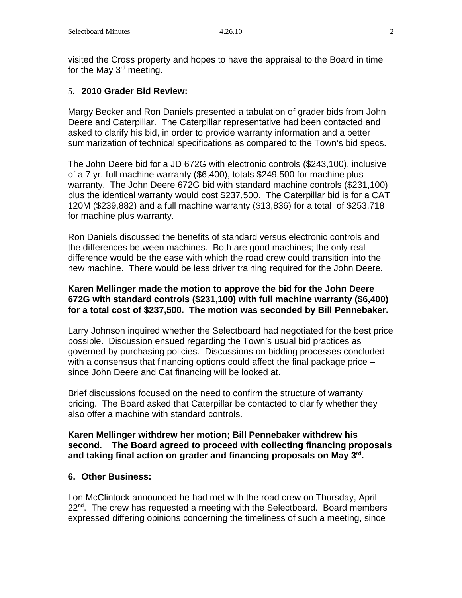visited the Cross property and hopes to have the appraisal to the Board in time for the May  $3<sup>rd</sup>$  meeting.

## 5. **2010 Grader Bid Review:**

Margy Becker and Ron Daniels presented a tabulation of grader bids from John Deere and Caterpillar. The Caterpillar representative had been contacted and asked to clarify his bid, in order to provide warranty information and a better summarization of technical specifications as compared to the Town's bid specs.

The John Deere bid for a JD 672G with electronic controls (\$243,100), inclusive of a 7 yr. full machine warranty (\$6,400), totals \$249,500 for machine plus warranty. The John Deere 672G bid with standard machine controls (\$231,100) plus the identical warranty would cost \$237,500. The Caterpillar bid is for a CAT 120M (\$239,882) and a full machine warranty (\$13,836) for a total of \$253,718 for machine plus warranty.

Ron Daniels discussed the benefits of standard versus electronic controls and the differences between machines. Both are good machines; the only real difference would be the ease with which the road crew could transition into the new machine. There would be less driver training required for the John Deere.

### **Karen Mellinger made the motion to approve the bid for the John Deere 672G with standard controls (\$231,100) with full machine warranty (\$6,400) for a total cost of \$237,500. The motion was seconded by Bill Pennebaker.**

Larry Johnson inquired whether the Selectboard had negotiated for the best price possible. Discussion ensued regarding the Town's usual bid practices as governed by purchasing policies. Discussions on bidding processes concluded with a consensus that financing options could affect the final package price – since John Deere and Cat financing will be looked at.

Brief discussions focused on the need to confirm the structure of warranty pricing. The Board asked that Caterpillar be contacted to clarify whether they also offer a machine with standard controls.

**Karen Mellinger withdrew her motion; Bill Pennebaker withdrew his second. The Board agreed to proceed with collecting financing proposals and taking final action on grader and financing proposals on May 3rd.** 

### **6. Other Business:**

Lon McClintock announced he had met with the road crew on Thursday, April  $22^{nd}$ . The crew has requested a meeting with the Selectboard. Board members expressed differing opinions concerning the timeliness of such a meeting, since